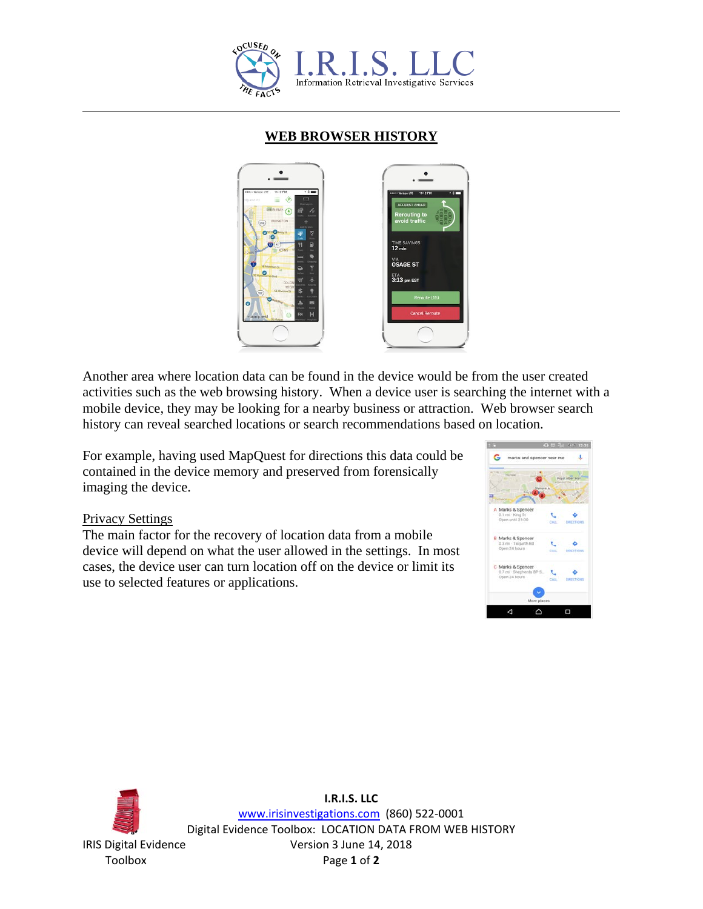

## **WEB BROWSER HISTORY**



Another area where location data can be found in the device would be from the user created activities such as the web browsing history. When a device user is searching the internet with a mobile device, they may be looking for a nearby business or attraction. Web browser search history can reveal searched locations or search recommendations based on location.

For example, having used MapQuest for directions this data could be contained in the device memory and preserved from forensically imaging the device.

## Privacy Settings

The main factor for the recovery of location data from a mobile device will depend on what the user allowed in the settings. In most cases, the device user can turn location off on the device or limit its use to selected features or applications.